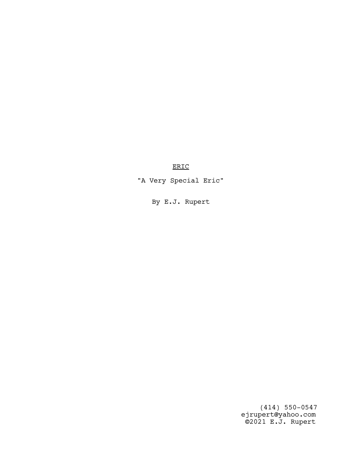ERIC

"A Very Special Eric"

By E.J. Rupert

 (414) 550-0547 ejrupert@yahoo.com ©2021 E.J. Rupert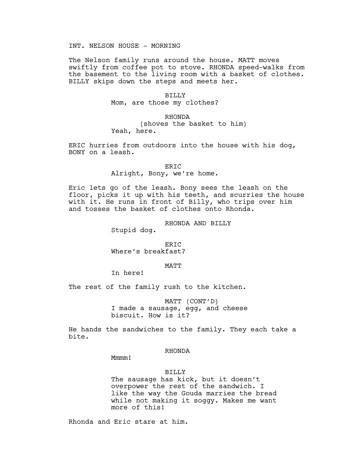### INT. NELSON HOUSE - MORNING

The Nelson family runs around the house. MATT moves swiftly from coffee pot to stove. RHONDA speed-walks from the basement to the living room with a basket of clothes. BILLY skips down the steps and meets her.

#### BILLY

Mom, are those my clothes?

# RHONDA (shoves the basket to him) Yeah, here.

ERIC hurries from outdoors into the house with his dog, BONY on a leash.

### ERIC

Alright, Bony, we're home.

Eric lets go of the leash. Bony sees the leash on the floor, picks it up with his teeth, and scurries the house with it. He runs in front of Billy, who trips over him and tosses the basket of clothes onto Rhonda.

RHONDA AND BILLY

Stupid dog.

ERIC Where's breakfast?

#### MATT

In here!

The rest of the family rush to the kitchen.

MATT (CONT'D) I made a sausage, egg, and cheese biscuit. How is it?

He hands the sandwiches to the family. They each take a bite.

### RHONDA

Mmmm!

### BILLY

The sausage has kick, but it doesn't overpower the rest of the sandwich. I like the way the Gouda marries the bread while not making it soggy. Makes me want more of this!

Rhonda and Eric stare at him.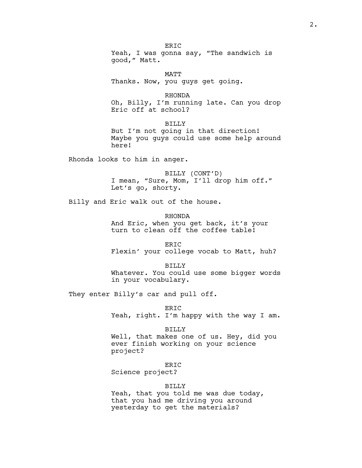ER<sub>TC</sub> Yeah, I was gonna say, "The sandwich is good," Matt.

MATT Thanks. Now, you guys get going.

RHONDA Oh, Billy, I'm running late. Can you drop Eric off at school?

BILLY But I'm not going in that direction! Maybe you guys could use some help around here!

Rhonda looks to him in anger.

BILLY (CONT'D) I mean, "Sure, Mom, I'll drop him off." Let's go, shorty.

Billy and Eric walk out of the house.

RHONDA And Eric, when you get back, it's your turn to clean off the coffee table!

ERIC Flexin' your college vocab to Matt, huh?

BILLY Whatever. You could use some bigger words in your vocabulary.

They enter Billy's car and pull off.

ERIC Yeah, right. I'm happy with the way I am.

BILLY

Well, that makes one of us. Hey, did you ever finish working on your science project?

ERIC

Science project?

BILLY

Yeah, that you told me was due today, that you had me driving you around yesterday to get the materials?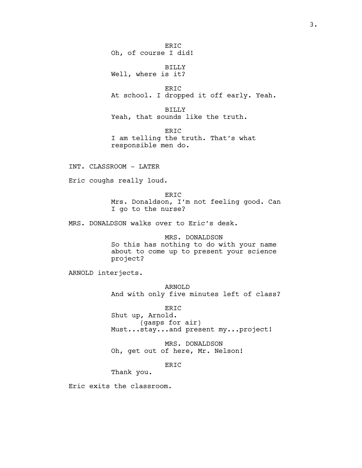ERIC Oh, of course I did! BILLY Well, where is it? ERIC At school. I dropped it off early. Yeah. BILLY Yeah, that sounds like the truth. ERIC I am telling the truth. That's what responsible men do. INT. CLASSROOM - LATER Eric coughs really loud. ERIC Mrs. Donaldson, I'm not feeling good. Can I go to the nurse? MRS. DONALDSON walks over to Eric's desk. MRS. DONALDSON So this has nothing to do with your name about to come up to present your science project? ARNOLD interjects. ARNOLD And with only five minutes left of class?

ERIC Shut up, Arnold. (gasps for air) Must...stay...and present my...project!

MRS. DONALDSON Oh, get out of here, Mr. Nelson!

ERIC

Thank you.

Eric exits the classroom.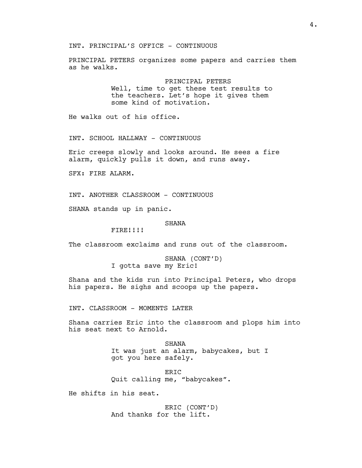INT. PRINCIPAL'S OFFICE - CONTINUOUS

PRINCIPAL PETERS organizes some papers and carries them as he walks.

> PRINCIPAL PETERS Well, time to get these test results to the teachers. Let's hope it gives them some kind of motivation.

He walks out of his office.

INT. SCHOOL HALLWAY - CONTINUOUS

Eric creeps slowly and looks around. He sees a fire alarm, quickly pulls it down, and runs away.

SFX: FIRE ALARM.

INT. ANOTHER CLASSROOM - CONTINUOUS

SHANA stands up in panic.

#### SHANA

FIRE!!!!

The classroom exclaims and runs out of the classroom.

SHANA (CONT'D) I gotta save my Eric!

Shana and the kids run into Principal Peters, who drops his papers. He sighs and scoops up the papers.

INT. CLASSROOM - MOMENTS LATER

Shana carries Eric into the classroom and plops him into his seat next to Arnold.

> SHANA It was just an alarm, babycakes, but I got you here safely.

ERIC Quit calling me, "babycakes".

He shifts in his seat.

ERIC (CONT'D) And thanks for the lift.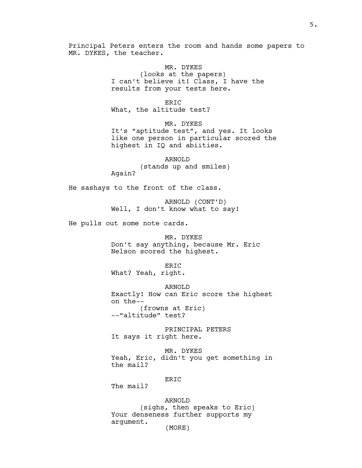Principal Peters enters the room and hands some papers to MR. DYKES, the teacher.

> MR. DYKES (looks at the papers) I can't believe it! Class, I have the results from your tests here.

ERIC What, the altitude test?

MR. DYKES It's "aptitude test", and yes. It looks like one person in particular scored the highest in IQ and abiities.

ARNOLD (stands up and smiles) Again?

He sashays to the front of the class.

ARNOLD (CONT'D) Well, I don't know what to say!

He pulls out some note cards.

MR. DYKES Don't say anything, because Mr. Eric Nelson scored the highest.

ER<sub>TC</sub> What? Yeah, right.

ARNOLD Exactly! How can Eric score the highest on the-- (frowns at Eric) --"altitude" test?

PRINCIPAL PETERS It says it right here.

MR. DYKES Yeah, Eric, didn't you get something in the mail?

### ERIC

The mail?

ARNOLD (sighs, then speaks to Eric) Your denseness further supports my argument. (MORE)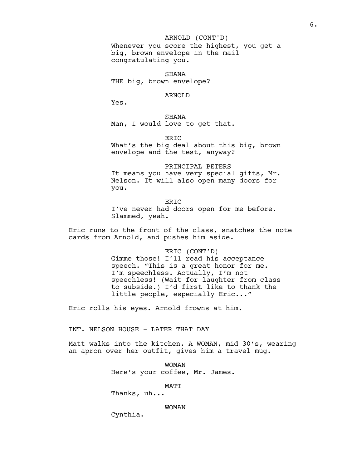## ARNOLD (CONT'D)

Whenever you score the highest, you get a big, brown envelope in the mail congratulating you.

SHANA THE big, brown envelope?

### ARNOLD

Yes.

SHANA Man, I would love to get that.

ER<sub>TC</sub>

What's the big deal about this big, brown envelope and the test, anyway?

PRINCIPAL PETERS It means you have very special gifts, Mr. Nelson. It will also open many doors for you.

ER<sub>TC</sub> I've never had doors open for me before. Slammed, yeah.

Eric runs to the front of the class, snatches the note cards from Arnold, and pushes him aside.

### ERIC (CONT'D)

Gimme those! I'll read his acceptance speech. "This is a great honor for me. I'm speechless. Actually, I'm not speechless! (Wait for laughter from class to subside.) I'd first like to thank the little people, especially Eric..."

Eric rolls his eyes. Arnold frowns at him.

INT. NELSON HOUSE - LATER THAT DAY

Matt walks into the kitchen. A WOMAN, mid 30's, wearing an apron over her outfit, gives him a travel mug.

> WOMAN Here's your coffee, Mr. James.

> > MATT

Thanks, uh...

#### WOMAN

Cynthia.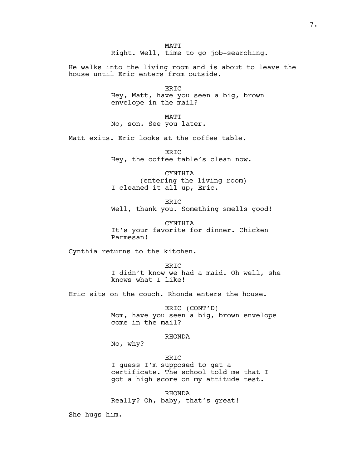MATT Right. Well, time to go job-searching.

He walks into the living room and is about to leave the house until Eric enters from outside.

> ERIC Hey, Matt, have you seen a big, brown envelope in the mail?

MATT No, son. See you later.

Matt exits. Eric looks at the coffee table.

ER<sub>TC</sub> Hey, the coffee table's clean now.

CYNTHIA (entering the living room) I cleaned it all up, Eric.

ERIC Well, thank you. Something smells good!

CYNTHIA It's your favorite for dinner. Chicken Parmesan!

Cynthia returns to the kitchen.

ER<sub>TC</sub> I didn't know we had a maid. Oh well, she knows what I like!

Eric sits on the couch. Rhonda enters the house.

ERIC (CONT'D) Mom, have you seen a big, brown envelope come in the mail?

### RHONDA

No, why?

```
ERIC
```
I guess I'm supposed to get a certificate. The school told me that I got a high score on my attitude test.

RHONDA Really? Oh, baby, that's great!

She hugs him.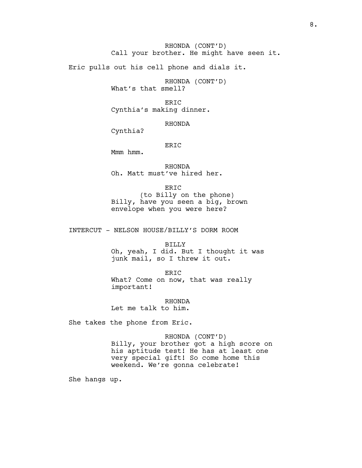RHONDA (CONT'D) Call your brother. He might have seen it.

Eric pulls out his cell phone and dials it.

RHONDA (CONT'D) What's that smell?

ERIC Cynthia's making dinner.

RHONDA

Cynthia?

ERIC

Mmm hmm.

RHONDA Oh. Matt must've hired her.

ERIC (to Billy on the phone) Billy, have you seen a big, brown envelope when you were here?

INTERCUT - NELSON HOUSE/BILLY'S DORM ROOM

BILLY Oh, yeah, I did. But I thought it was junk mail, so I threw it out.

ERIC What? Come on now, that was really important!

RHONDA Let me talk to him.

She takes the phone from Eric.

RHONDA (CONT'D) Billy, your brother got a high score on his aptitude test! He has at least one very special gift! So come home this weekend. We're gonna celebrate!

She hangs up.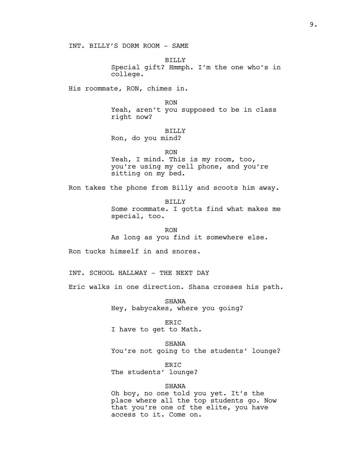INT. BILLY'S DORM ROOM - SAME

BILLY Special gift? Hmmph. I'm the one who's in college.

His roommate, RON, chimes in.

RON

Yeah, aren't you supposed to be in class right now?

BILLY

Ron, do you mind?

RON Yeah, I mind. This is my room, too, you're using my cell phone, and you're sitting on my bed.

Ron takes the phone from Billy and scoots him away.

BILLY Some roommate. I gotta find what makes me special, too.

RON As long as you find it somewhere else.

Ron tucks himself in and snores.

INT. SCHOOL HALLWAY - THE NEXT DAY

Eric walks in one direction. Shana crosses his path.

SHANA Hey, babycakes, where you going?

ERIC I have to get to Math.

SHANA You're not going to the students' lounge?

ERIC The students' lounge?

SHANA

Oh boy, no one told you yet. It's the place where all the top students go. Now that you're one of the elite, you have access to it. Come on.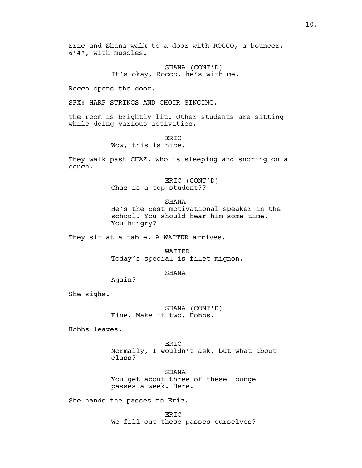Eric and Shana walk to a door with ROCCO, a bouncer, 6'4", with muscles.

> SHANA (CONT'D) It's okay, Rocco, he's with me.

Rocco opens the door.

SFX: HARP STRINGS AND CHOIR SINGING.

The room is brightly lit. Other students are sitting while doing various activities.

> ER<sub>TC</sub> Wow, this is nice.

They walk past CHAZ, who is sleeping and snoring on a couch.

> ERIC (CONT'D) Chaz is a top student??

> > SHANA

He's the best motivational speaker in the school. You should hear him some time. You hungry?

They sit at a table. A WAITER arrives.

WAITER Today's special is filet mignon.

SHANA

Again?

She sighs.

SHANA (CONT'D) Fine. Make it two, Hobbs.

Hobbs leaves.

ERIC Normally, I wouldn't ask, but what about class?

SHANA You get about three of these lounge passes a week. Here.

She hands the passes to Eric.

ERIC We fill out these passes ourselves?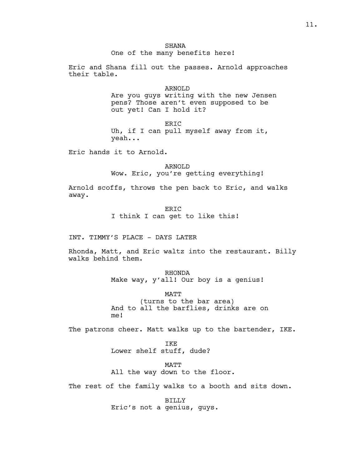Eric and Shana fill out the passes. Arnold approaches their table.

# ARNOLD

Are you guys writing with the new Jensen pens? Those aren't even supposed to be out yet! Can I hold it?

ERIC Uh, if I can pull myself away from it, yeah...

Eric hands it to Arnold.

ARNOLD Wow. Eric, you're getting everything!

Arnold scoffs, throws the pen back to Eric, and walks away.

> ERIC I think I can get to like this!

INT. TIMMY'S PLACE - DAYS LATER

Rhonda, Matt, and Eric waltz into the restaurant. Billy walks behind them.

> RHONDA Make way, y'all! Our boy is a genius!

MATT (turns to the bar area) And to all the barflies, drinks are on me!

The patrons cheer. Matt walks up to the bartender, IKE.

IKE Lower shelf stuff, dude?

MATT All the way down to the floor.

The rest of the family walks to a booth and sits down.

BILLY Eric's not a genius, guys.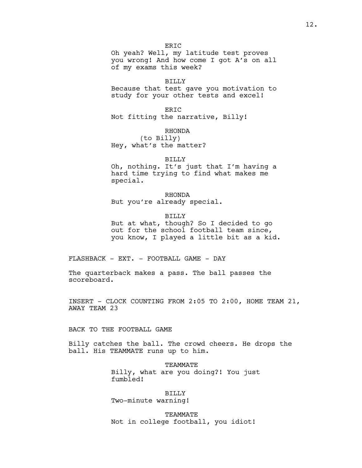ER<sub>IC</sub>

Oh yeah? Well, my latitude test proves you wrong! And how come I got A's on all of my exams this week?

### BILLY

Because that test gave you motivation to study for your other tests and excel!

ERIC Not fitting the narrative, Billy!

> RHONDA (to Billy)

Hey, what's the matter?

### BILLY

Oh, nothing. It's just that I'm having a hard time trying to find what makes me special.

RHONDA But you're already special.

BILLY

But at what, though? So I decided to go out for the school football team since, you know, I played a little bit as a kid.

FLASHBACK - EXT. - FOOTBALL GAME - DAY

The quarterback makes a pass. The ball passes the scoreboard.

INSERT - CLOCK COUNTING FROM 2:05 TO 2:00, HOME TEAM 21, AWAY TEAM 23

BACK TO THE FOOTBALL GAME

Billy catches the ball. The crowd cheers. He drops the ball. His TEAMMATE runs up to him.

> TEAMMATE Billy, what are you doing?! You just fumbled!

BILLY Two-minute warning!

TEAMMATE Not in college football, you idiot!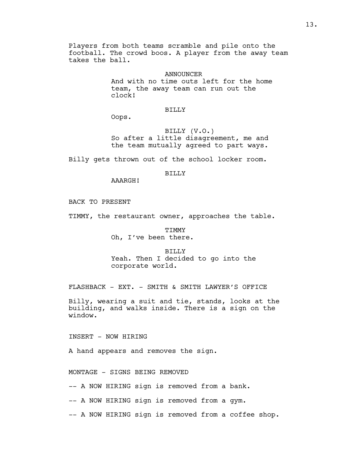Players from both teams scramble and pile onto the football. The crowd boos. A player from the away team takes the ball.

> ANNOUNCER And with no time outs left for the home team, the away team can run out the clock!

#### BILLY

Oops.

BILLY (V.O.) So after a little disagreement, me and the team mutually agreed to part ways.

Billy gets thrown out of the school locker room.

BILLY

AAARGH!

BACK TO PRESENT

TIMMY, the restaurant owner, approaches the table.

TIMMY Oh, I've been there.

BILLY Yeah. Then I decided to go into the corporate world.

FLASHBACK - EXT. - SMITH & SMITH LAWYER'S OFFICE

Billy, wearing a suit and tie, stands, looks at the building, and walks inside. There is a sign on the window.

INSERT - NOW HIRING

A hand appears and removes the sign.

MONTAGE - SIGNS BEING REMOVED

-- A NOW HIRING sign is removed from a bank.

-- A NOW HIRING sign is removed from a gym.

-- A NOW HIRING sign is removed from a coffee shop.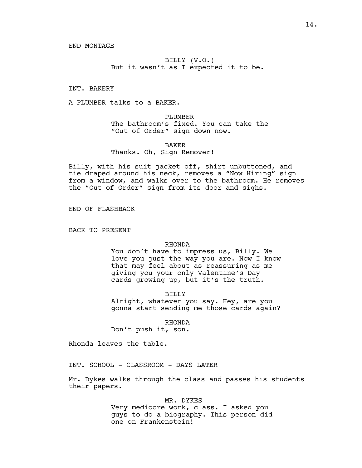END MONTAGE

BILLY (V.O.) But it wasn't as I expected it to be.

INT. BAKERY

A PLUMBER talks to a BAKER.

PLUMBER The bathroom's fixed. You can take the "Out of Order" sign down now.

### BAKER Thanks. Oh, Sign Remover!

Billy, with his suit jacket off, shirt unbuttoned, and tie draped around his neck, removes a "Now Hiring" sign from a window, and walks over to the bathroom. He removes the "Out of Order" sign from its door and sighs.

END OF FLASHBACK

BACK TO PRESENT

### RHONDA

You don't have to impress us, Billy. We love you just the way you are. Now I know that may feel about as reassuring as me giving you your only Valentine's Day cards growing up, but it's the truth.

BILLY

Alright, whatever you say. Hey, are you gonna start sending me those cards again?

RHONDA

Don't push it, son.

Rhonda leaves the table.

INT. SCHOOL - CLASSROOM - DAYS LATER

Mr. Dykes walks through the class and passes his students their papers.

MR. DYKES

Very mediocre work, class. I asked you guys to do a biography. This person did one on Frankenstein!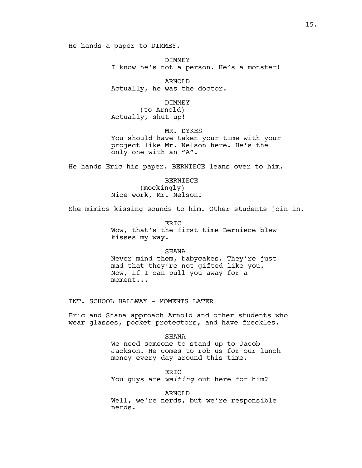He hands a paper to DIMMEY.

DIMMEY I know he's not a person. He's a monster!

ARNOLD Actually, he was the doctor.

#### DIMMEY

(to Arnold) Actually, shut up!

MR. DYKES You should have taken your time with your project like Mr. Nelson here. He's the only one with an "A".

He hands Eric his paper. BERNIECE leans over to him.

BERNIECE (mockingly) Nice work, Mr. Nelson!

She mimics kissing sounds to him. Other students join in.

ER<sub>TC</sub> Wow, that's the first time Berniece blew kisses my way.

#### **SHANA**

Never mind them, babycakes. They're just mad that they're not gifted like you. Now, if I can pull you away for a moment...

INT. SCHOOL HALLWAY - MOMENTS LATER

Eric and Shana approach Arnold and other students who wear glasses, pocket protectors, and have freckles.

> SHANA We need someone to stand up to Jacob Jackson. He comes to rob us for our lunch money every day around this time.

ERIC You guys are waiting out here for him?

### ARNOLD

Well, we're nerds, but we're responsible nerds.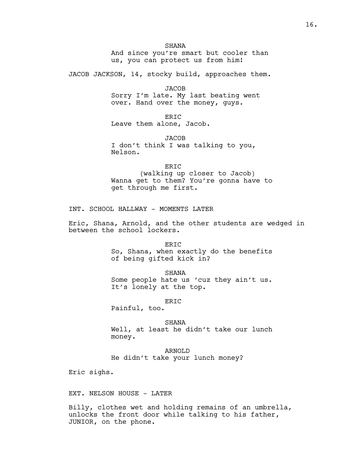**SHANA** And since you're smart but cooler than us, you can protect us from him!

JACOB JACKSON, 14, stocky build, approaches them.

JACOB

Sorry I'm late. My last beating went over. Hand over the money, guys.

ERIC Leave them alone, Jacob.

JACOB I don't think I was talking to you, Nelson.

ERIC (walking up closer to Jacob) Wanna get to them? You're gonna have to get through me first.

INT. SCHOOL HALLWAY - MOMENTS LATER

Eric, Shana, Arnold, and the other students are wedged in between the school lockers.

ERIC

So, Shana, when exactly do the benefits of being gifted kick in?

SHANA

Some people hate us 'cuz they ain't us. It's lonely at the top.

ERIC

Painful, too.

SHANA Well, at least he didn't take our lunch money.

ARNOLD He didn't take your lunch money?

Eric sighs.

EXT. NELSON HOUSE - LATER

Billy, clothes wet and holding remains of an umbrella, unlocks the front door while talking to his father, JUNIOR, on the phone.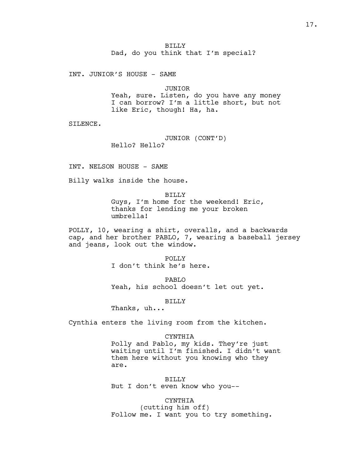INT. JUNIOR'S HOUSE - SAME

JUNIOR Yeah, sure. Listen, do you have any money I can borrow? I'm a little short, but not like Eric, though! Ha, ha.

SILENCE.

JUNIOR (CONT'D) Hello? Hello?

INT. NELSON HOUSE - SAME

Billy walks inside the house.

BILLY Guys, I'm home for the weekend! Eric, thanks for lending me your broken umbrella!

POLLY, 10, wearing a shirt, overalls, and a backwards cap, and her brother PABLO, 7, wearing a baseball jersey and jeans, look out the window.

> POLLY I don't think he's here.

PABLO Yeah, his school doesn't let out yet.

BILLY

Thanks, uh...

Cynthia enters the living room from the kitchen.

#### CYNTHIA

Polly and Pablo, my kids. They're just waiting until I'm finished. I didn't want them here without you knowing who they are.

BILLY But I don't even know who you--

CYNTHIA (cutting him off) Follow me. I want you to try something.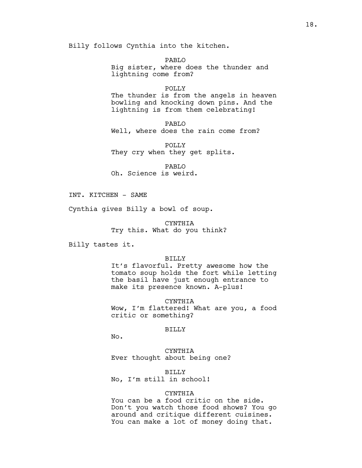Billy follows Cynthia into the kitchen.

PABLO Big sister, where does the thunder and lightning come from?

POLLY

The thunder is from the angels in heaven bowling and knocking down pins. And the lightning is from them celebrating!

PABLO Well, where does the rain come from?

POLLY They cry when they get splits.

PABLO Oh. Science is weird.

INT. KITCHEN - SAME

Cynthia gives Billy a bowl of soup.

CYNTHIA Try this. What do you think?

Billy tastes it.

### BILLY

It's flavorful. Pretty awesome how the tomato soup holds the fort while letting the basil have just enough entrance to make its presence known. A-plus!

CYNTHIA

Wow, I'm flattered! What are you, a food critic or something?

#### BILLY

No.

CYNTHIA Ever thought about being one?

BILLY No, I'm still in school!

### CYNTHIA

You can be a food critic on the side. Don't you watch those food shows? You go around and critique different cuisines. You can make a lot of money doing that.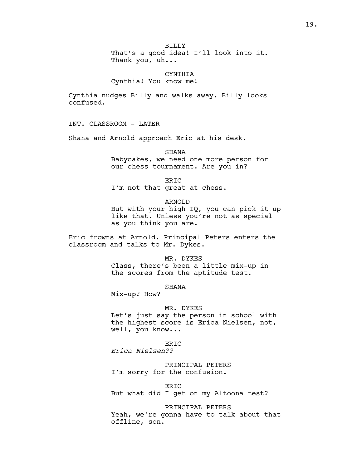BILLY That's a good idea! I'll look into it. Thank you, uh...

CYNTHIA Cynthia! You know me!

Cynthia nudges Billy and walks away. Billy looks confused.

INT. CLASSROOM - LATER

Shana and Arnold approach Eric at his desk.

**SHANA** 

Babycakes, we need one more person for our chess tournament. Are you in?

ERIC

I'm not that great at chess.

ARNOLD

But with your high IQ, you can pick it up like that. Unless you're not as special as you think you are.

Eric frowns at Arnold. Principal Peters enters the classroom and talks to Mr. Dykes.

> MR. DYKES Class, there's been a little mix-up in the scores from the aptitude test.

> > SHANA

Mix-up? How?

MR. DYKES

Let's just say the person in school with the highest score is Erica Nielsen, not, well, you know...

ERIC Erica Nielsen??

PRINCIPAL PETERS I'm sorry for the confusion.

ERIC

But what did I get on my Altoona test?

PRINCIPAL PETERS Yeah, we're gonna have to talk about that offline, son.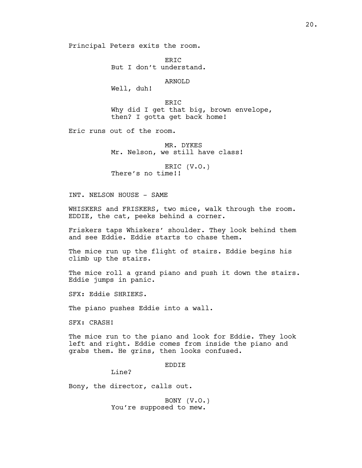Principal Peters exits the room.

ER<sub>TC</sub> But I don't understand.

ARNOLD

Well, duh!

ERIC Why did I get that big, brown envelope, then? I gotta get back home!

Eric runs out of the room.

MR. DYKES Mr. Nelson, we still have class!

ERIC (V.O.) There's no time!!

INT. NELSON HOUSE - SAME

WHISKERS and FRISKERS, two mice, walk through the room. EDDIE, the cat, peeks behind a corner.

Friskers taps Whiskers' shoulder. They look behind them and see Eddie. Eddie starts to chase them.

The mice run up the flight of stairs. Eddie begins his climb up the stairs.

The mice roll a grand piano and push it down the stairs. Eddie jumps in panic.

SFX: Eddie SHRIEKS.

The piano pushes Eddie into a wall.

SFX: CRASH!

The mice run to the piano and look for Eddie. They look left and right. Eddie comes from inside the piano and grabs them. He grins, then looks confused.

EDDIE

Line?

Bony, the director, calls out.

BONY (V.O.) You're supposed to mew.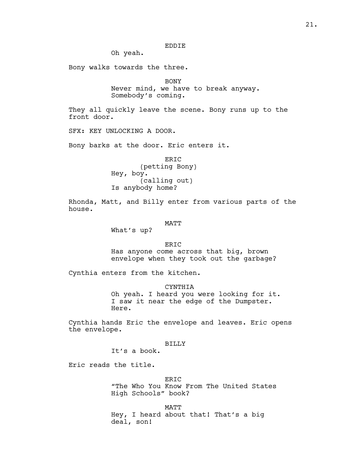# EDDIE

Oh yeah.

Bony walks towards the three.

BONY

Never mind, we have to break anyway. Somebody's coming.

They all quickly leave the scene. Bony runs up to the front door.

SFX: KEY UNLOCKING A DOOR.

Bony barks at the door. Eric enters it.

ERIC (petting Bony) Hey, boy. (calling out) Is anybody home?

Rhonda, Matt, and Billy enter from various parts of the house.

#### MATT

What's up?

ERIC Has anyone come across that big, brown envelope when they took out the garbage?

Cynthia enters from the kitchen.

CYNTHIA

Oh yeah. I heard you were looking for it. I saw it near the edge of the Dumpster. Here.

Cynthia hands Eric the envelope and leaves. Eric opens the envelope.

### BILLY

It's a book.

Eric reads the title.

ERIC "The Who You Know From The United States High Schools" book?

MATT Hey, I heard about that! That's a big deal, son!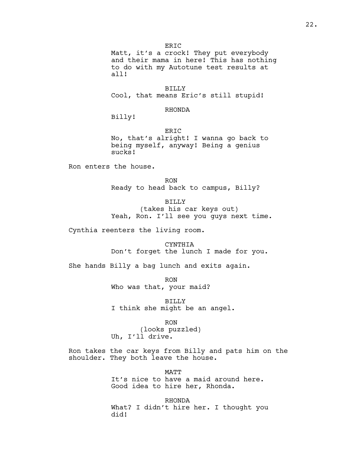ER<sub>IC</sub> Matt, it's a crock! They put everybody and their mama in here! This has nothing to do with my Autotune test results at all!

BILLY Cool, that means Eric's still stupid!

### RHONDA

Billy!

ERIC No, that's alright! I wanna go back to being myself, anyway! Being a genius sucks!

Ron enters the house.

RON Ready to head back to campus, Billy?

BILLY

(takes his car keys out) Yeah, Ron. I'll see you quys next time.

Cynthia reenters the living room.

CYNTHIA Don't forget the lunch I made for you.

She hands Billy a bag lunch and exits again.

RON Who was that, your maid?

BILLY I think she might be an angel.

RON (looks puzzled) Uh, I'll drive.

Ron takes the car keys from Billy and pats him on the shoulder. They both leave the house.

> **MATT** It's nice to have a maid around here. Good idea to hire her, Rhonda.

RHONDA What? I didn't hire her. I thought you did!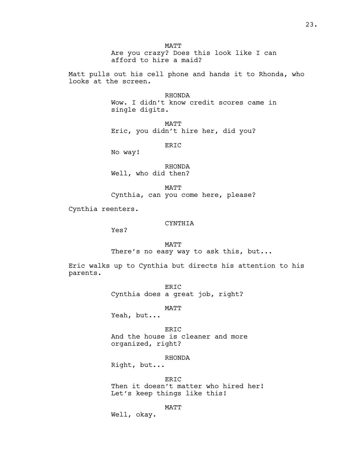MATT Are you crazy? Does this look like I can afford to hire a maid?

Matt pulls out his cell phone and hands it to Rhonda, who looks at the screen.

> RHONDA Wow. I didn't know credit scores came in single digits.

MATT Eric, you didn't hire her, did you?

ERIC

No way!

RHONDA Well, who did then?

MATT Cynthia, can you come here, please?

Cynthia reenters.

#### CYNTHIA

Yes?

MATT There's no easy way to ask this, but...

Eric walks up to Cynthia but directs his attention to his parents.

> ERIC Cynthia does a great job, right?

> > MATT

Yeah, but...

ERIC And the house is cleaner and more organized, right?

RHONDA

Right, but...

ERIC Then it doesn't matter who hired her! Let's keep things like this!

MATT

Well, okay.